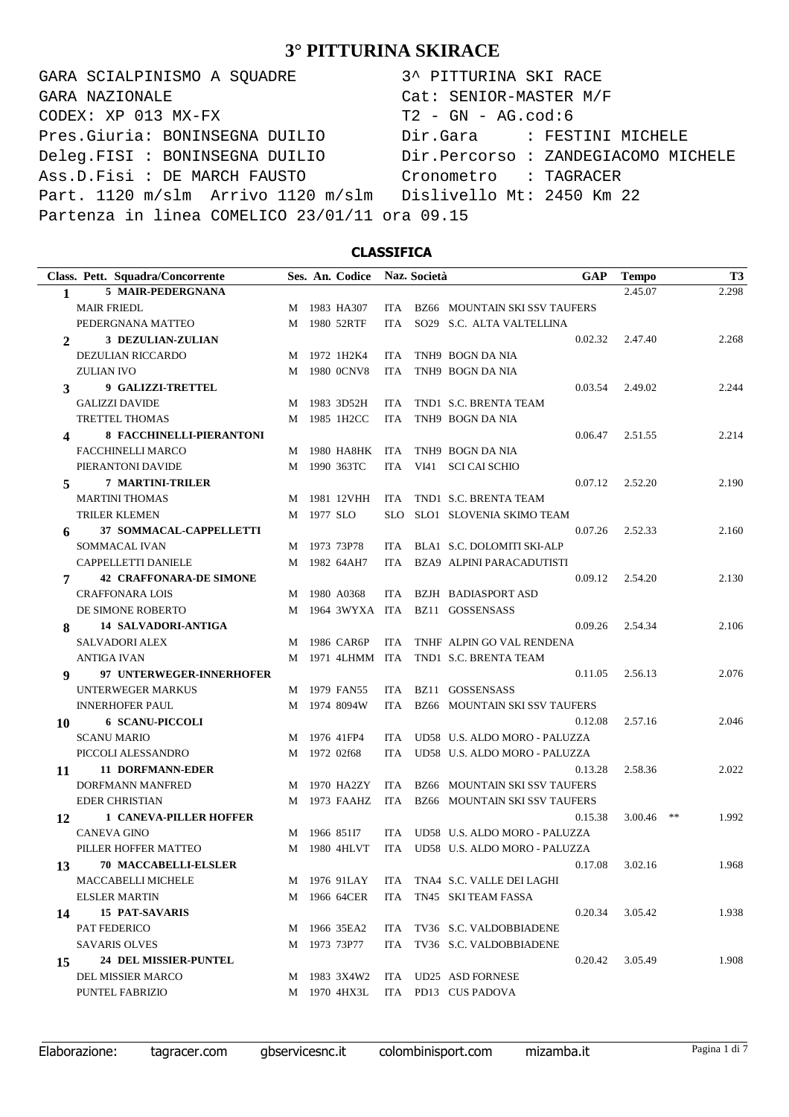| GARA SCIALPINISMO A SOUADRE                                  | 3^ PITTURINA SKI RACE               |
|--------------------------------------------------------------|-------------------------------------|
| GARA NAZIONALE                                               | Cat: SENIOR-MASTER M/F              |
| CODEX: XP 013 MX-FX                                          | $T2 - GN - AG.cod:6$                |
| Pres. Giuria: BONINSEGNA DUILIO                              | Dir.Gara : FESTINI MICHELE          |
| Deleg.FISI : BONINSEGNA DUILIO                               | Dir.Percorso : ZANDEGIACOMO MICHELE |
| Ass.D.Fisi : DE MARCH FAUSTO                                 | Cronometro : TAGRACER               |
| Part. 1120 m/slm Arrivo 1120 m/slm Dislivello Mt: 2450 Km 22 |                                     |
| Partenza in linea COMELICO 23/01/11 ora 09.15                |                                     |

|              | Class. Pett. Squadra/Concorrente |            | Ses. An. Codice  |            | Naz. Società | <b>GAP</b>                           | <b>Tempo</b> |    | T <sub>3</sub> |
|--------------|----------------------------------|------------|------------------|------------|--------------|--------------------------------------|--------------|----|----------------|
| $\mathbf{1}$ | 5 MAIR-PEDERGNANA                |            |                  |            |              |                                      | 2.45.07      |    | 2.298          |
|              | <b>MAIR FRIEDL</b>               |            | M 1983 HA307     |            |              | ITA BZ66 MOUNTAIN SKI SSV TAUFERS    |              |    |                |
|              | PEDERGNANA MATTEO                |            | M 1980 52RTF     | <b>ITA</b> |              | SO29 S.C. ALTA VALTELLINA            |              |    |                |
| 2            | 3 DEZULIAN-ZULIAN                |            |                  |            |              | 0.02.32                              | 2.47.40      |    | 2.268          |
|              | DEZULIAN RICCARDO                |            | M 1972 1H2K4     | ITA.       |              | TNH9 BOGN DA NIA                     |              |    |                |
|              | <b>ZULIAN IVO</b>                |            | M 1980 0CNV8     | ITA        |              | TNH9 BOGN DA NIA                     |              |    |                |
| 3            | 9 GALIZZI-TRETTEL                |            |                  |            |              | 0.03.54                              | 2.49.02      |    | 2.244          |
|              | <b>GALIZZI DAVIDE</b>            |            | M 1983 3D52H     | ITA        |              | TND1 S.C. BRENTA TEAM                |              |    |                |
|              | <b>TRETTEL THOMAS</b>            |            | M 1985 1H2CC     | <b>ITA</b> |              | TNH9 BOGN DA NIA                     |              |    |                |
| 4            | <b>8 FACCHINELLI-PIERANTONI</b>  |            |                  |            |              | 0.06.47                              | 2.51.55      |    | 2.214          |
|              | <b>FACCHINELLI MARCO</b>         |            | M 1980 HA8HK ITA |            |              | TNH9 BOGN DA NIA                     |              |    |                |
|              | PIERANTONI DAVIDE                |            | M 1990 363TC     | <b>ITA</b> |              | VI41 SCI CAI SCHIO                   |              |    |                |
| 5            | <b>7 MARTINI-TRILER</b>          |            |                  |            |              | 0.07.12                              | 2.52.20      |    | 2.190          |
|              | <b>MARTINI THOMAS</b>            |            | M 1981 12VHH     | ITA        |              | TND1 S.C. BRENTA TEAM                |              |    |                |
|              | <b>TRILER KLEMEN</b>             | M 1977 SLO |                  | <b>SLO</b> |              | SLO1 SLOVENIA SKIMO TEAM             |              |    |                |
| 6            | <b>37 SOMMACAL-CAPPELLETTI</b>   |            |                  |            |              | 0.07.26                              | 2.52.33      |    | 2.160          |
|              | SOMMACAL IVAN                    |            | M 1973 73P78     | ITA.       |              | BLA1 S.C. DOLOMITI SKI-ALP           |              |    |                |
|              | CAPPELLETTI DANIELE              |            | M 1982 64AH7     | ITA        |              | BZA9 ALPINI PARACADUTISTI            |              |    |                |
| 7            | <b>42 CRAFFONARA-DE SIMONE</b>   |            |                  |            |              | 0.09.12                              | 2.54.20      |    | 2.130          |
|              | <b>CRAFFONARA LOIS</b>           |            | M 1980 A0368     | ITA        |              | <b>BZJH BADIASPORT ASD</b>           |              |    |                |
|              | DE SIMONE ROBERTO                |            | M 1964 3WYXA ITA |            |              | BZ11 GOSSENSASS                      |              |    |                |
| 8            | <b>14 SALVADORI-ANTIGA</b>       |            |                  |            |              | 0.09.26                              | 2.54.34      |    | 2.106          |
|              | <b>SALVADORI ALEX</b>            |            | M 1986 CAR6P     | ITA        |              | TNHF ALPIN GO VAL RENDENA            |              |    |                |
|              | <b>ANTIGA IVAN</b>               |            | M 1971 4LHMM ITA |            |              | TND1 S.C. BRENTA TEAM                |              |    |                |
| 9            | 97 UNTERWEGER-INNERHOFER         |            |                  |            |              | 0.11.05                              | 2.56.13      |    | 2.076          |
|              | <b>UNTERWEGER MARKUS</b>         |            | M 1979 FAN55     | ITA.       |              | BZ11 GOSSENSASS                      |              |    |                |
|              | <b>INNERHOFER PAUL</b>           |            | M 1974 8094W     | <b>ITA</b> |              | <b>BZ66 MOUNTAIN SKI SSV TAUFERS</b> |              |    |                |
| 10           | <b>6 SCANU-PICCOLI</b>           |            |                  |            |              | 0.12.08                              | 2.57.16      |    | 2.046          |
|              | <b>SCANU MARIO</b>               |            | M 1976 41FP4     | ITA.       |              | UD58 U.S. ALDO MORO - PALUZZA        |              |    |                |
|              | PICCOLI ALESSANDRO               |            | M 1972 02f68     | <b>ITA</b> |              | UD58 U.S. ALDO MORO - PALUZZA        |              |    |                |
| 11           | 11 DORFMANN-EDER                 |            |                  |            |              | 0.13.28                              | 2.58.36      |    | 2.022          |
|              | <b>DORFMANN MANFRED</b>          |            | M 1970 HA2ZY     | ITA        |              | <b>BZ66 MOUNTAIN SKI SSV TAUFERS</b> |              |    |                |
|              | <b>EDER CHRISTIAN</b>            |            | M 1973 FAAHZ     | ITA        |              | <b>BZ66 MOUNTAIN SKI SSV TAUFERS</b> |              |    |                |
| 12           | <b>1 CANEVA-PILLER HOFFER</b>    |            |                  |            |              | 0.15.38                              | 3.00.46      | ** | 1.992          |
|              | <b>CANEVA GINO</b>               |            | M 1966 851I7     | <b>ITA</b> |              | UD58 U.S. ALDO MORO - PALUZZA        |              |    |                |
|              | PILLER HOFFER MATTEO             |            | M 1980 4HLVT     | ITA.       |              | UD58 U.S. ALDO MORO - PALUZZA        |              |    |                |
| 13           | 70 MACCABELLI-ELSLER             |            |                  |            |              | 0.17.08                              | 3.02.16      |    | 1.968          |
|              | MACCABELLI MICHELE               |            | M 1976 91LAY     |            |              | ITA TNA4 S.C. VALLE DEI LAGHI        |              |    |                |
|              | <b>ELSLER MARTIN</b>             |            | M 1966 64CER     |            |              | ITA TN45 SKI TEAM FASSA              |              |    |                |
| 14           | <b>15 PAT-SAVARIS</b>            |            |                  |            |              | 0.20.34                              | 3.05.42      |    | 1.938          |
|              | <b>PAT FEDERICO</b>              |            | M 1966 35EA2     |            |              | ITA TV36 S.C. VALDOBBIADENE          |              |    |                |
|              | <b>SAVARIS OLVES</b>             |            | M 1973 73P77     |            |              | ITA TV36 S.C. VALDOBBIADENE          |              |    |                |
| 15           | <b>24 DEL MISSIER-PUNTEL</b>     |            |                  |            |              | 0.20.42                              | 3.05.49      |    | 1.908          |
|              | DEL MISSIER MARCO                |            | M 1983 3X4W2     |            |              | ITA UD25 ASD FORNESE                 |              |    |                |
|              | PUNTEL FABRIZIO                  |            | M 1970 4HX3L     |            |              | ITA PD13 CUS PADOVA                  |              |    |                |
|              |                                  |            |                  |            |              |                                      |              |    |                |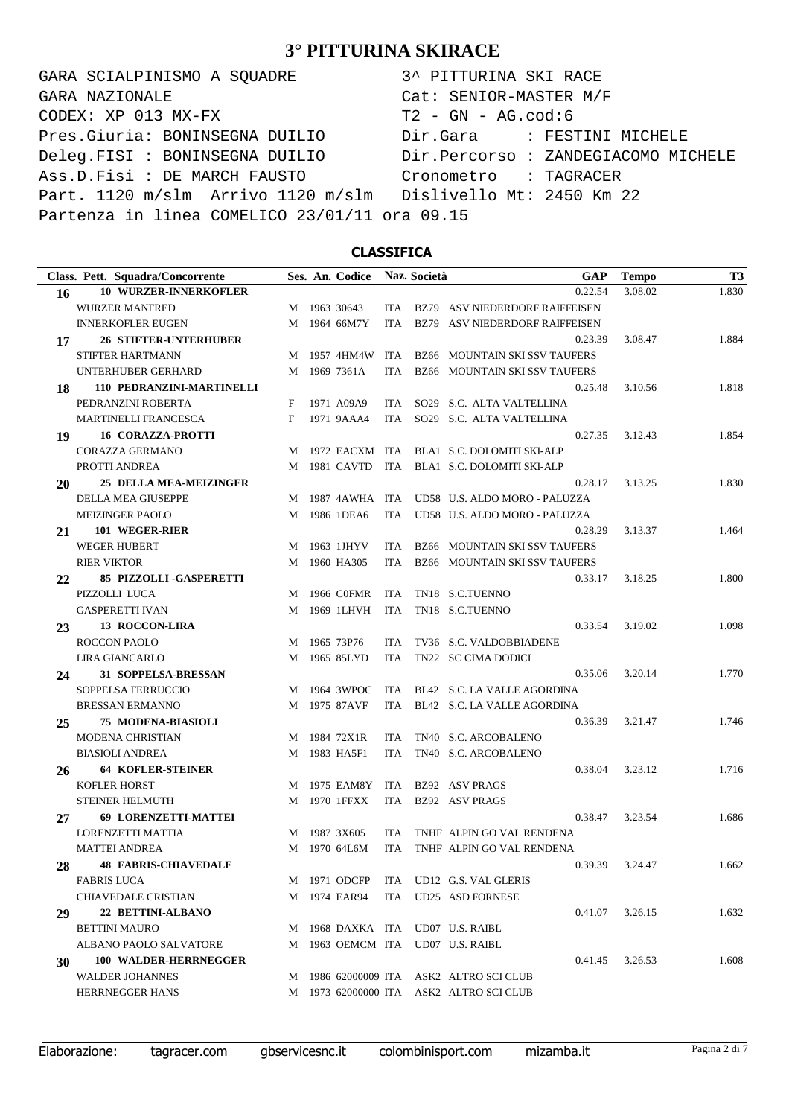| GARA SCIALPINISMO A SQUADRE                                        | 3^ PITTURINA SKI RACE      |
|--------------------------------------------------------------------|----------------------------|
| GARA NAZIONALE                                                     | Cat: SENIOR-MASTER M/F     |
| CODEX: XP 013 MX-FX                                                | $T2 - GN - AG.cod:6$       |
| Pres. Giuria: BONINSEGNA DUILIO                                    | Dir.Gara : FESTINI MICHELE |
| Deleg.FISI : BONINSEGNA DUILIO Dir.Percorso : ZANDEGIACOMO MICHELE |                            |
| Ass.D.Fisi : DE MARCH FAUSTO                                       | Cronometro : TAGRACER      |
| Part. 1120 m/slm Arrivo 1120 m/slm Dislivello Mt: 2450 Km 22       |                            |
| Partenza in linea COMELICO 23/01/11 ora 09.15                      |                            |

|    | Class. Pett. Squadra/Concorrente |   | Ses. An. Codice Naz. Società |            | GAP                                            | <b>Tempo</b>    | T <sub>3</sub> |
|----|----------------------------------|---|------------------------------|------------|------------------------------------------------|-----------------|----------------|
| 16 | <b>10 WURZER-INNERKOFLER</b>     |   |                              |            | 0.22.54                                        | 3.08.02         | 1.830          |
|    | <b>WURZER MANFRED</b>            |   | M 1963 30643                 |            | ITA BZ79 ASV NIEDERDORF RAIFFEISEN             |                 |                |
|    | <b>INNERKOFLER EUGEN</b>         |   | M 1964 66M7Y                 | ITA.       | <b>BZ79 ASV NIEDERDORF RAIFFEISEN</b>          |                 |                |
| 17 | <b>26 STIFTER-UNTERHUBER</b>     |   |                              |            | 0.23.39                                        | 3.08.47         | 1.884          |
|    | STIFTER HARTMANN                 |   | M 1957 4HM4W                 | ITA        | <b>BZ66 MOUNTAIN SKI SSV TAUFERS</b>           |                 |                |
|    | UNTERHUBER GERHARD               |   | M 1969 7361A                 | <b>ITA</b> | <b>BZ66 MOUNTAIN SKI SSV TAUFERS</b>           |                 |                |
| 18 | 110 PEDRANZINI-MARTINELLI        |   |                              |            | 0.25.48                                        | 3.10.56         | 1.818          |
|    | PEDRANZINI ROBERTA               | F | 1971 A09A9                   | ITA        | SO29 S.C. ALTA VALTELLINA                      |                 |                |
|    | <b>MARTINELLI FRANCESCA</b>      | F | 1971 9AAA4                   | ITA        | SO29 S.C. ALTA VALTELLINA                      |                 |                |
| 19 | <b>16 CORAZZA-PROTTI</b>         |   |                              |            | 0.27.35                                        | 3.12.43         | 1.854          |
|    | <b>CORAZZA GERMANO</b>           |   |                              |            | M 1972 EACXM ITA BLA1 S.C. DOLOMITI SKI-ALP    |                 |                |
|    | PROTTI ANDREA                    |   | M 1981 CAVTD                 |            | ITA BLA1 S.C. DOLOMITI SKI-ALP                 |                 |                |
| 20 | <b>25 DELLA MEA-MEIZINGER</b>    |   |                              |            | 0.28.17                                        | 3.13.25         | 1.830          |
|    | DELLA MEA GIUSEPPE               |   |                              |            | M 1987 4AWHA ITA UD58 U.S. ALDO MORO - PALUZZA |                 |                |
|    | <b>MEIZINGER PAOLO</b>           |   | M 1986 1DEA6                 | ITA        | UD58 U.S. ALDO MORO - PALUZZA                  |                 |                |
| 21 | 101 WEGER-RIER                   |   |                              |            | 0.28.29                                        | 3.13.37         | 1.464          |
|    | <b>WEGER HUBERT</b>              | M | 1963 1JHYV                   | ITA.       | <b>BZ66 MOUNTAIN SKI SSV TAUFERS</b>           |                 |                |
|    | <b>RIER VIKTOR</b>               |   | M 1960 HA305                 | ITA.       | <b>BZ66 MOUNTAIN SKI SSV TAUFERS</b>           |                 |                |
| 22 | <b>85 PIZZOLLI-GASPERETTI</b>    |   |                              |            | 0.33.17                                        | 3.18.25         | 1.800          |
|    | PIZZOLLI LUCA                    | M | 1966 C0FMR                   | ITA        | TN18 S.C.TUENNO                                |                 |                |
|    | <b>GASPERETTI IVAN</b>           |   | M 1969 1LHVH                 | ITA        | TN18 S.C.TUENNO                                |                 |                |
| 23 | <b>13 ROCCON-LIRA</b>            |   |                              |            | 0.33.54                                        | 3.19.02         | 1.098          |
|    | <b>ROCCON PAOLO</b>              | M | 1965 73P76                   | ITA        | TV36 S.C. VALDOBBIADENE                        |                 |                |
|    | LIRA GIANCARLO                   |   | M 1965 85LYD                 | ITA        | TN22 SC CIMA DODICI                            |                 |                |
| 24 | 31 SOPPELSA-BRESSAN              |   |                              |            | 0.35.06                                        | 3.20.14         | 1.770          |
|    | SOPPELSA FERRUCCIO               | M | 1964 3WPOC                   | ITA        | BL42 S.C. LA VALLE AGORDINA                    |                 |                |
|    | <b>BRESSAN ERMANNO</b>           |   | M 1975 87AVF                 |            | ITA BL42 S.C. LA VALLE AGORDINA                |                 |                |
| 25 | <b>75 MODENA-BIASIOLI</b>        |   |                              |            | 0.36.39                                        | 3.21.47         | 1.746          |
|    | <b>MODENA CHRISTIAN</b>          |   | M 1984 72X1R                 | ITA        | TN40 S.C. ARCOBALENO                           |                 |                |
|    | <b>BIASIOLI ANDREA</b>           |   | M 1983 HA5F1                 | <b>ITA</b> | TN40 S.C. ARCOBALENO                           |                 |                |
| 26 | <b>64 KOFLER-STEINER</b>         |   |                              |            | 0.38.04                                        | 3.23.12         | 1.716          |
|    | <b>KOFLER HORST</b>              |   | M 1975 EAM8Y                 | ITA        | BZ92 ASV PRAGS                                 |                 |                |
|    | <b>STEINER HELMUTH</b>           | M | 1970 1FFXX                   | <b>ITA</b> | <b>BZ92 ASV PRAGS</b>                          |                 |                |
| 27 | 69 LORENZETTI-MATTEI             |   |                              |            | 0.38.47                                        | 3.23.54         | 1.686          |
|    | <b>LORENZETTI MATTIA</b>         | M | 1987 3X605                   | <b>ITA</b> | TNHF ALPIN GO VAL RENDENA                      |                 |                |
|    | <b>MATTEI ANDREA</b>             |   | M 1970 64L6M                 | <b>ITA</b> | TNHF ALPIN GO VAL RENDENA                      |                 |                |
| 28 | <b>48 FABRIS-CHIAVEDALE</b>      |   |                              |            |                                                | 0.39.39 3.24.47 | 1.662          |
|    | <b>FABRIS LUCA</b>               |   |                              |            | M 1971 ODCFP ITA UD12 G.S. VAL GLERIS          |                 |                |
|    | <b>CHIAVEDALE CRISTIAN</b>       |   | M 1974 EAR94                 |            | ITA UD25 ASD FORNESE                           |                 |                |
| 29 | 22 BETTINI-ALBANO                |   |                              |            | 0.41.07                                        | 3.26.15         | 1.632          |
|    | <b>BETTINI MAURO</b>             |   |                              |            | M 1968 DAXKA ITA UD07 U.S. RAIBL               |                 |                |
|    | ALBANO PAOLO SALVATORE           |   |                              |            | M 1963 OEMCM ITA UD07 U.S. RAIBL               |                 |                |
| 30 | 100 WALDER-HERRNEGGER            |   |                              |            | 0.41.45                                        | 3.26.53         | 1.608          |
|    | <b>WALDER JOHANNES</b>           |   |                              |            | M 1986 62000009 ITA ASK2 ALTRO SCI CLUB        |                 |                |
|    | HERRNEGGER HANS                  |   |                              |            | M 1973 62000000 ITA ASK2 ALTRO SCI CLUB        |                 |                |
|    |                                  |   |                              |            |                                                |                 |                |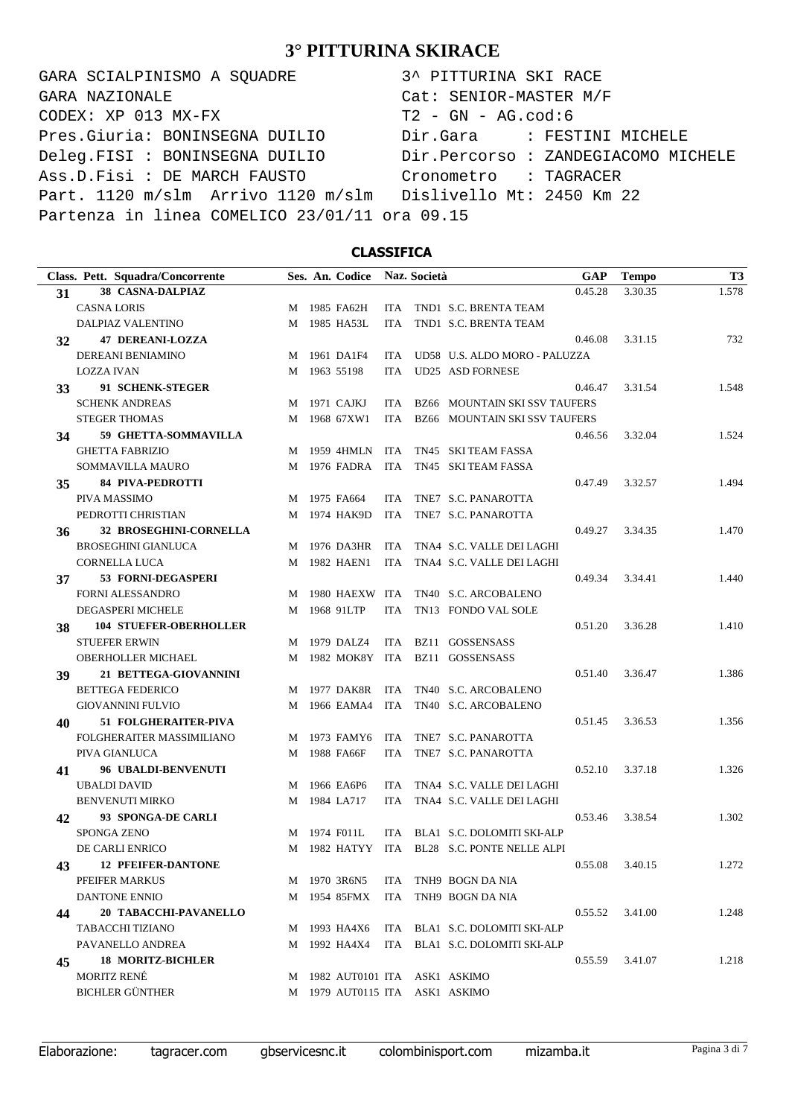| GARA SCIALPINISMO A SOUADRE                                  | 3^ PITTURINA SKI RACE               |
|--------------------------------------------------------------|-------------------------------------|
| GARA NAZIONALE                                               | Cat: SENIOR-MASTER M/F              |
| CODEX: XP 013 MX-FX                                          | $T2 - GN - AG.cod:6$                |
| Pres. Giuria: BONINSEGNA DUILIO                              | Dir.Gara : FESTINI MICHELE          |
| Deleg.FISI : BONINSEGNA DUILIO                               | Dir.Percorso : ZANDEGIACOMO MICHELE |
| Ass.D.Fisi : DE MARCH FAUSTO                                 | Cronometro : TAGRACER               |
| Part. 1120 m/slm Arrivo 1120 m/slm Dislivello Mt: 2450 Km 22 |                                     |
| Partenza in linea COMELICO 23/01/11 ora 09.15                |                                     |

### **CLASSIFICA**

|    | Class. Pett. Squadra/Concorrente |   | Ses. An. Codice                |            | Naz. Società |                                      | GAP     | <b>Tempo</b>    | T <sub>3</sub> |
|----|----------------------------------|---|--------------------------------|------------|--------------|--------------------------------------|---------|-----------------|----------------|
| 31 | 38 CASNA-DALPIAZ                 |   |                                |            |              |                                      | 0.45.28 | 3.30.35         | 1.578          |
|    | <b>CASNA LORIS</b>               |   | M 1985 FA62H                   | ITA        |              | TND1 S.C. BRENTA TEAM                |         |                 |                |
|    | DALPIAZ VALENTINO                |   | M 1985 HA53L                   | <b>ITA</b> |              | TND1 S.C. BRENTA TEAM                |         |                 |                |
| 32 | <b>47 DEREANI-LOZZA</b>          |   |                                |            |              |                                      | 0.46.08 | 3.31.15         | 732            |
|    | DEREANI BENIAMINO                |   | M 1961 DA1F4                   | ITA.       |              | UD58 U.S. ALDO MORO - PALUZZA        |         |                 |                |
|    | <b>LOZZA IVAN</b>                |   | M 1963 55198                   | <b>ITA</b> |              | UD25 ASD FORNESE                     |         |                 |                |
| 33 | 91 SCHENK-STEGER                 |   |                                |            |              |                                      | 0.46.47 | 3.31.54         | 1.548          |
|    | <b>SCHENK ANDREAS</b>            |   | M 1971 CAJKJ                   | ITA.       |              | <b>BZ66 MOUNTAIN SKI SSV TAUFERS</b> |         |                 |                |
|    | <b>STEGER THOMAS</b>             |   | M 1968 67XW1                   | ITA        |              | <b>BZ66 MOUNTAIN SKI SSV TAUFERS</b> |         |                 |                |
| 34 | 59 GHETTA-SOMMAVILLA             |   |                                |            |              |                                      | 0.46.56 | 3.32.04         | 1.524          |
|    | <b>GHETTA FABRIZIO</b>           |   | M 1959 4HMLN                   | ITA        |              | TN45 SKI TEAM FASSA                  |         |                 |                |
|    | SOMMAVILLA MAURO                 |   | M 1976 FADRA                   | ITA        |              | TN45 SKI TEAM FASSA                  |         |                 |                |
| 35 | <b>84 PIVA-PEDROTTI</b>          |   |                                |            |              |                                      | 0.47.49 | 3.32.57         | 1.494          |
|    | PIVA MASSIMO                     |   | M 1975 FA664                   | ITA.       |              | TNE7 S.C. PANAROTTA                  |         |                 |                |
|    | PEDROTTI CHRISTIAN               |   | M 1974 HAK9D                   | ITA        |              | TNE7 S.C. PANAROTTA                  |         |                 |                |
| 36 | <b>32 BROSEGHINI-CORNELLA</b>    |   |                                |            |              |                                      | 0.49.27 | 3.34.35         | 1.470          |
|    | <b>BROSEGHINI GIANLUCA</b>       |   | M 1976 DA3HR                   | ITA        |              | TNA4 S.C. VALLE DEI LAGHI            |         |                 |                |
|    | <b>CORNELLA LUCA</b>             |   | M 1982 HAEN1                   | ITA        |              | TNA4 S.C. VALLE DEI LAGHI            |         |                 |                |
| 37 | 53 FORNI-DEGASPERI               |   |                                |            |              |                                      | 0.49.34 | 3.34.41         | 1.440          |
|    | <b>FORNI ALESSANDRO</b>          | M | 1980 HAEXW ITA                 |            |              | TN40 S.C. ARCOBALENO                 |         |                 |                |
|    | DEGASPERI MICHELE                |   | M 1968 91LTP                   | <b>ITA</b> |              | TN13 FONDO VAL SOLE                  |         |                 |                |
| 38 | <b>104 STUEFER-OBERHOLLER</b>    |   |                                |            |              |                                      | 0.51.20 | 3.36.28         | 1.410          |
|    | <b>STUEFER ERWIN</b>             |   | M 1979 DALZ4                   | ITA        |              | BZ11 GOSSENSASS                      |         |                 |                |
|    | <b>OBERHOLLER MICHAEL</b>        |   | M 1982 MOK8Y ITA               |            |              | BZ11 GOSSENSASS                      |         |                 |                |
| 39 | 21 BETTEGA-GIOVANNINI            |   |                                |            |              |                                      | 0.51.40 | 3.36.47         | 1.386          |
|    | <b>BETTEGA FEDERICO</b>          |   | M 1977 DAK8R                   | ITA        |              | TN40 S.C. ARCOBALENO                 |         |                 |                |
|    | <b>GIOVANNINI FULVIO</b>         |   | M 1966 EAMA4                   | ITA        |              | TN40 S.C. ARCOBALENO                 |         |                 |                |
| 40 | 51 FOLGHERAITER-PIVA             |   |                                |            |              |                                      | 0.51.45 | 3.36.53         | 1.356          |
|    | FOLGHERAITER MASSIMILIANO        |   | M 1973 FAMY6                   | ITA        |              | TNE7 S.C. PANAROTTA                  |         |                 |                |
|    | PIVA GIANLUCA                    |   | M 1988 FA66F                   | <b>ITA</b> |              | TNE7 S.C. PANAROTTA                  |         |                 |                |
| 41 | 96 UBALDI-BENVENUTI              |   |                                |            |              |                                      | 0.52.10 | 3.37.18         | 1.326          |
|    | <b>UBALDI DAVID</b>              | M | 1966 EA6P6                     | <b>ITA</b> |              | TNA4 S.C. VALLE DEI LAGHI            |         |                 |                |
|    | <b>BENVENUTI MIRKO</b>           |   | M 1984 LA717                   | <b>ITA</b> |              | TNA4 S.C. VALLE DEI LAGHI            |         |                 |                |
| 42 | 93 SPONGA-DE CARLI               |   |                                |            |              |                                      | 0.53.46 | 3.38.54         | 1.302          |
|    | <b>SPONGA ZENO</b>               | M | 1974 F011L                     | <b>ITA</b> |              | BLA1 S.C. DOLOMITI SKI-ALP           |         |                 |                |
|    | DE CARLI ENRICO                  |   | M 1982 HATYY ITA               |            |              | BL28 S.C. PONTE NELLE ALPI           |         |                 |                |
| 43 | <b>12 PFEIFER-DANTONE</b>        |   |                                |            |              |                                      |         | 0.55.08 3.40.15 | 1.272          |
|    | PFEIFER MARKUS                   |   | M 1970 3R6N5                   |            |              | ITA TNH9 BOGN DA NIA                 |         |                 |                |
|    | <b>DANTONE ENNIO</b>             |   | M 1954 85FMX                   | ITA        |              | TNH9 BOGN DA NIA                     |         |                 |                |
| 44 | 20 TABACCHI-PAVANELLO            |   |                                |            |              |                                      | 0.55.52 | 3.41.00         | 1.248          |
|    | TABACCHI TIZIANO                 |   | M 1993 HA4X6                   |            |              | ITA BLA1 S.C. DOLOMITI SKI-ALP       |         |                 |                |
|    | PAVANELLO ANDREA                 |   | M 1992 HA4X4                   |            |              | ITA BLA1 S.C. DOLOMITI SKI-ALP       |         |                 |                |
| 45 | <b>18 MORITZ-BICHLER</b>         |   |                                |            |              |                                      | 0.55.59 | 3.41.07         | 1.218          |
|    | <b>MORITZ RENÉ</b>               |   | M 1982 AUT0101 ITA ASK1 ASKIMO |            |              |                                      |         |                 |                |
|    | <b>BICHLER GÜNTHER</b>           |   | M 1979 AUT0115 ITA ASK1 ASKIMO |            |              |                                      |         |                 |                |
|    |                                  |   |                                |            |              |                                      |         |                 |                |

Elaborazione: tagracer.com gbservicesnc.it colombinisport.com mizamba.it Pagina 3 di 7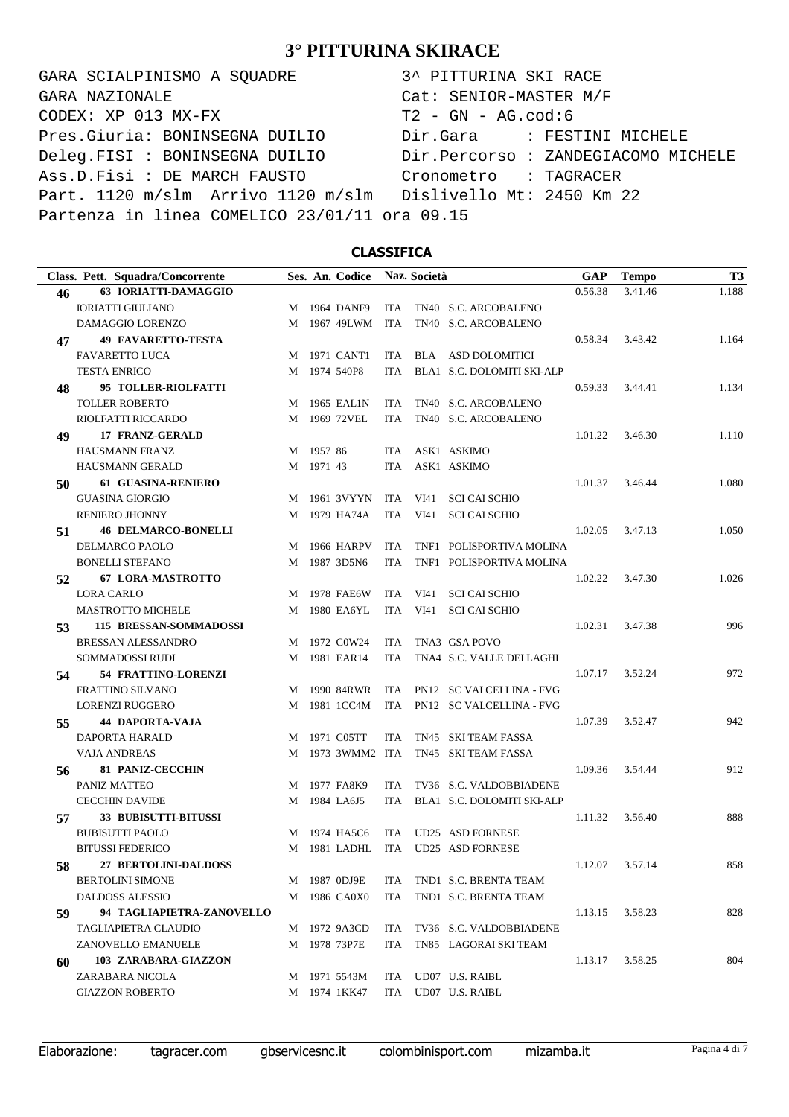| GARA SCIALPINISMO A SQUADRE                                  | 3^ PITTURINA SKI RACE               |
|--------------------------------------------------------------|-------------------------------------|
| GARA NAZIONALE                                               | Cat: SENIOR-MASTER M/F              |
| CODEX: XP 013 MX-FX                                          | $T2 - GN - AG.cod:6$                |
| Pres. Giuria: BONINSEGNA DUILIO                              | Dir.Gara : FESTINI MICHELE          |
| Deleg.FISI : BONINSEGNA DUILIO                               | Dir.Percorso : ZANDEGIACOMO MICHELE |
| Ass.D.Fisi : DE MARCH FAUSTO                                 | Cronometro : TAGRACER               |
| Part. 1120 m/slm Arrivo 1120 m/slm Dislivello Mt: 2450 Km 22 |                                     |
| Partenza in linea COMELICO 23/01/11 ora 09.15                |                                     |

### **CLASSIFICA**

|    | Class. Pett. Squadra/Concorrente |           | Ses. An. Codice Naz. Società |            |      |                                | GAP     | <b>Tempo</b>    | T <sub>3</sub> |
|----|----------------------------------|-----------|------------------------------|------------|------|--------------------------------|---------|-----------------|----------------|
| 46 | 63 IORIATTI-DAMAGGIO             |           |                              |            |      |                                | 0.56.38 | 3.41.46         | 1.188          |
|    | <b>IORIATTI GIULIANO</b>         |           | M 1964 DANF9                 |            |      | ITA TN40 S.C. ARCOBALENO       |         |                 |                |
|    | DAMAGGIO LORENZO                 |           | M 1967 49LWM ITA             |            |      | TN40 S.C. ARCOBALENO           |         |                 |                |
| 47 | <b>49 FAVARETTO-TESTA</b>        |           |                              |            |      |                                | 0.58.34 | 3.43.42         | 1.164          |
|    | <b>FAVARETTO LUCA</b>            |           | M 1971 CANT1                 |            |      | ITA BLA ASD DOLOMITICI         |         |                 |                |
|    | <b>TESTA ENRICO</b>              |           | M 1974 540P8                 |            |      | ITA BLA1 S.C. DOLOMITI SKI-ALP |         |                 |                |
| 48 | 95 TOLLER-RIOLFATTI              |           |                              |            |      |                                | 0.59.33 | 3.44.41         | 1.134          |
|    | <b>TOLLER ROBERTO</b>            |           | M 1965 EAL1N                 | ITA        |      | TN40 S.C. ARCOBALENO           |         |                 |                |
|    | RIOLFATTI RICCARDO               |           | M 1969 72VEL                 | ITA        |      | TN40 S.C. ARCOBALENO           |         |                 |                |
| 49 | <b>17 FRANZ-GERALD</b>           |           |                              |            |      |                                | 1.01.22 | 3.46.30         | 1.110          |
|    | <b>HAUSMANN FRANZ</b>            | M 1957 86 |                              |            |      | ITA ASK1 ASKIMO                |         |                 |                |
|    | <b>HAUSMANN GERALD</b>           | M 1971 43 |                              | ITA        |      | ASK1 ASKIMO                    |         |                 |                |
| 50 | 61 GUASINA-RENIERO               |           |                              |            |      |                                | 1.01.37 | 3.46.44         | 1.080          |
|    | <b>GUASINA GIORGIO</b>           |           | M 1961 3VYYN                 | ITA        |      | VI41 SCI CAI SCHIO             |         |                 |                |
|    | <b>RENIERO JHONNY</b>            |           | M 1979 HA74A                 | ITA        | VI41 | SCI CAI SCHIO                  |         |                 |                |
| 51 | <b>46 DELMARCO-BONELLI</b>       |           |                              |            |      |                                | 1.02.05 | 3.47.13         | 1.050          |
|    | <b>DELMARCO PAOLO</b>            |           | <b>M</b> 1966 HARPV          | ITA        |      | TNF1 POLISPORTIVA MOLINA       |         |                 |                |
|    | <b>BONELLI STEFANO</b>           |           | M 1987 3D5N6                 | <b>ITA</b> |      | TNF1 POLISPORTIVA MOLINA       |         |                 |                |
| 52 | <b>67 LORA-MASTROTTO</b>         |           |                              |            |      |                                | 1.02.22 | 3.47.30         | 1.026          |
|    | <b>LORA CARLO</b>                |           | M 1978 FAE6W                 | ITA        |      | VI41 SCI CAI SCHIO             |         |                 |                |
|    | <b>MASTROTTO MICHELE</b>         |           | M 1980 EA6YL                 |            |      | ITA VI41 SCI CAI SCHIO         |         |                 |                |
| 53 | <b>115 BRESSAN-SOMMADOSSI</b>    |           |                              |            |      |                                | 1.02.31 | 3.47.38         | 996            |
|    | <b>BRESSAN ALESSANDRO</b>        |           | M 1972 C0W24                 | ITA        |      | TNA3 GSA POVO                  |         |                 |                |
|    | SOMMADOSSI RUDI                  |           | M 1981 EAR14                 | ITA        |      | TNA4 S.C. VALLE DEI LAGHI      |         |                 |                |
| 54 | 54 FRATTINO-LORENZI              |           |                              |            |      |                                | 1.07.17 | 3.52.24         | 972            |
|    | FRATTINO SILVANO                 |           | M 1990 84RWR                 |            |      | ITA PN12 SC VALCELLINA - FVG   |         |                 |                |
|    | <b>LORENZI RUGGERO</b>           |           | M 1981 1CC4M                 |            |      | ITA PN12 SC VALCELLINA - FVG   |         |                 |                |
| 55 | <b>44 DAPORTA-VAJA</b>           |           |                              |            |      |                                | 1.07.39 | 3.52.47         | 942            |
|    | DAPORTA HARALD                   |           | M 1971 C05TT                 | <b>ITA</b> |      | TN45 SKI TEAM FASSA            |         |                 |                |
|    | <b>VAJA ANDREAS</b>              |           | M 1973 3WMM2 ITA             |            |      | TN45 SKI TEAM FASSA            |         |                 |                |
| 56 | <b>81 PANIZ-CECCHIN</b>          |           |                              |            |      |                                | 1.09.36 | 3.54.44         | 912            |
|    | PANIZ MATTEO                     |           | M 1977 FA8K9                 | ITA        |      | TV36 S.C. VALDOBBIADENE        |         |                 |                |
|    | <b>CECCHIN DAVIDE</b>            |           | M 1984 LA6J5                 |            |      | ITA BLA1 S.C. DOLOMITI SKI-ALP |         |                 |                |
| 57 | <b>33 BUBISUTTI-BITUSSI</b>      |           |                              |            |      |                                | 1.11.32 | 3.56.40         | 888            |
|    | <b>BUBISUTTI PAOLO</b>           |           | M 1974 HA5C6                 | ITA        |      | UD25 ASD FORNESE               |         |                 |                |
|    | <b>BITUSSI FEDERICO</b>          |           | M 1981 LADHL                 |            |      | ITA UD25 ASD FORNESE           |         |                 |                |
| 58 | 27 BERTOLINI-DALDOSS             |           |                              |            |      |                                |         | 1.12.07 3.57.14 | 858            |
|    | <b>BERTOLINI SIMONE</b>          |           | M 1987 0DJ9E                 | ITA        |      | TND1 S.C. BRENTA TEAM          |         |                 |                |
|    | <b>DALDOSS ALESSIO</b>           |           | M 1986 CA0X0                 | ITA        |      | TND1 S.C. BRENTA TEAM          |         |                 |                |
| 59 | 94 TAGLIAPIETRA-ZANOVELLO        |           |                              |            |      |                                | 1.13.15 | 3.58.23         | 828            |
|    | TAGLIAPIETRA CLAUDIO             |           | M 1972 9A3CD                 |            |      | ITA TV36 S.C. VALDOBBIADENE    |         |                 |                |
|    | ZANOVELLO EMANUELE               |           | M 1978 73P7E                 | ITA        |      | TN85 LAGORAI SKI TEAM          |         |                 |                |
| 60 | 103 ZARABARA-GIAZZON             |           |                              |            |      |                                | 1.13.17 | 3.58.25         | 804            |
|    | ZARABARA NICOLA                  |           | M 1971 5543M                 |            |      | ITA UD07 U.S. RAIBL            |         |                 |                |
|    | <b>GIAZZON ROBERTO</b>           |           | M 1974 1KK47                 |            |      | ITA UD07 U.S. RAIBL            |         |                 |                |

Elaborazione: tagracer.com gbservicesnc.it colombinisport.com mizamba.it Pagina 4 di 7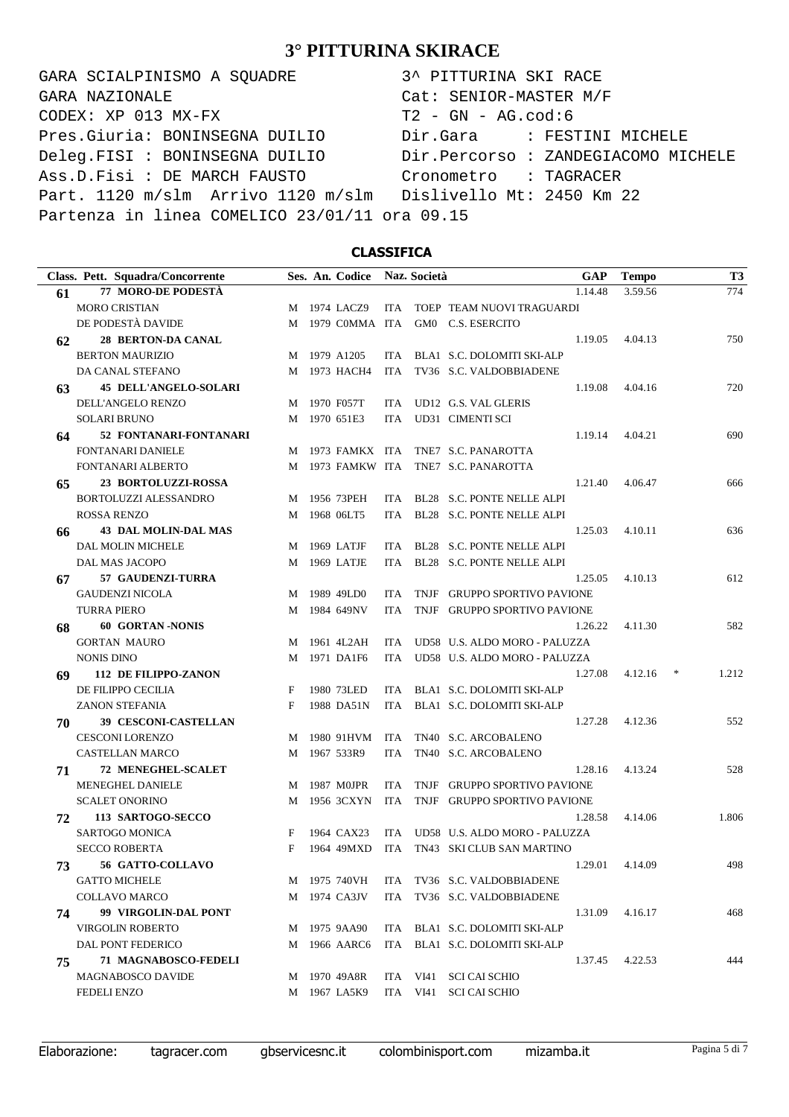| GARA SCIALPINISMO A SQUADRE                                  | 3^ PITTURINA SKI RACE               |
|--------------------------------------------------------------|-------------------------------------|
| GARA NAZIONALE                                               | Cat: SENIOR-MASTER M/F              |
| CODEX: XP 013 MX-FX                                          | $T2 - GN - AG.cod:6$                |
| Pres. Giuria: BONINSEGNA DUILIO                              | Dir.Gara : FESTINI MICHELE          |
| Deleg.FISI : BONINSEGNA DUILIO                               | Dir.Percorso : ZANDEGIACOMO MICHELE |
| Ass.D.Fisi : DE MARCH FAUSTO                                 | Cronometro : TAGRACER               |
| Part. 1120 m/slm Arrivo 1120 m/slm Dislivello Mt: 2450 Km 22 |                                     |
| Partenza in linea COMELICO 23/01/11 ora 09.15                |                                     |

|    | Class. Pett. Squadra/Concorrente |   | Ses. An. Codice Naz. Società |            | GAP                            | <b>Tempo</b> | T3         |
|----|----------------------------------|---|------------------------------|------------|--------------------------------|--------------|------------|
| 61 | 77 MORO-DE PODESTÀ               |   |                              |            | 1.14.48                        | 3.59.56      | 774        |
|    | <b>MORO CRISTIAN</b>             |   | M 1974 LACZ9                 | ITA        | TOEP TEAM NUOVI TRAGUARDI      |              |            |
|    | DE PODESTÀ DAVIDE                | М | 1979 COMMA ITA               |            | GM0 C.S. ESERCITO              |              |            |
| 62 | 28 BERTON-DA CANAL               |   |                              |            | 1.19.05                        | 4.04.13      | 750        |
|    | <b>BERTON MAURIZIO</b>           |   | M 1979 A1205                 | ITA        | BLA1 S.C. DOLOMITI SKI-ALP     |              |            |
|    | DA CANAL STEFANO                 | М | 1973 HACH4                   | ITA        | TV36 S.C. VALDOBBIADENE        |              |            |
| 63 | <b>45 DELL'ANGELO-SOLARI</b>     |   |                              |            | 1.19.08                        | 4.04.16      | 720        |
|    | DELL'ANGELO RENZO                | M | 1970 F057T                   | ITA.       | UD12 G.S. VAL GLERIS           |              |            |
|    | <b>SOLARI BRUNO</b>              | M | 1970 651E3                   | ITA        | UD31 CIMENTI SCI               |              |            |
| 64 | 52 FONTANARI-FONTANARI           |   |                              |            | 1.19.14                        | 4.04.21      | 690        |
|    | FONTANARI DANIELE                |   | M 1973 FAMKX ITA             |            | TNE7 S.C. PANAROTTA            |              |            |
|    | FONTANARI ALBERTO                | M | 1973 FAMKW ITA               |            | TNE7 S.C. PANAROTTA            |              |            |
| 65 | 23 BORTOLUZZI-ROSSA              |   |                              |            | 1.21.40                        | 4.06.47      | 666        |
|    | BORTOLUZZI ALESSANDRO            | M | 1956 73PEH                   | ITA        | BL28 S.C. PONTE NELLE ALPI     |              |            |
|    | <b>ROSSA RENZO</b>               | M | 1968 06LT5                   | ITA        | BL28 S.C. PONTE NELLE ALPI     |              |            |
| 66 | <b>43 DAL MOLIN-DAL MAS</b>      |   |                              |            | 1.25.03                        | 4.10.11      | 636        |
|    | DAL MOLIN MICHELE                | M | 1969 LATJF                   | ITA.       | BL28 S.C. PONTE NELLE ALPI     |              |            |
|    | DAL MAS JACOPO                   | M | 1969 LATJE                   | ITA.       | BL28 S.C. PONTE NELLE ALPI     |              |            |
| 67 | 57 GAUDENZI-TURRA                |   |                              |            | 1.25.05                        | 4.10.13      | 612        |
|    | <b>GAUDENZI NICOLA</b>           | M | 1989 49LD0                   | <b>ITA</b> | TNJF GRUPPO SPORTIVO PAVIONE   |              |            |
|    | <b>TURRA PIERO</b>               | M | 1984 649NV                   | <b>ITA</b> | TNJF GRUPPO SPORTIVO PAVIONE   |              |            |
| 68 | <b>60 GORTAN-NONIS</b>           |   |                              |            | 1.26.22                        | 4.11.30      | 582        |
|    | <b>GORTAN MAURO</b>              | M | 1961 4L2AH                   | ITA.       | UD58 U.S. ALDO MORO - PALUZZA  |              |            |
|    | <b>NONIS DINO</b>                | M | 1971 DA1F6                   | ITA.       | UD58 U.S. ALDO MORO - PALUZZA  |              |            |
| 69 | <b>112 DE FILIPPO-ZANON</b>      |   |                              |            | 1.27.08                        | 4.12.16      | ∗<br>1.212 |
|    | DE FILIPPO CECILIA               | F | 1980 73LED                   | ITA.       | BLA1 S.C. DOLOMITI SKI-ALP     |              |            |
|    | <b>ZANON STEFANIA</b>            | F | 1988 DA51N                   | ITA        | BLA1 S.C. DOLOMITI SKI-ALP     |              |            |
| 70 | <b>39 CESCONI-CASTELLAN</b>      |   |                              |            | 1.27.28                        | 4.12.36      | 552        |
|    | <b>CESCONI LORENZO</b>           | M | 1980 91HVM                   | ITA        | TN40 S.C. ARCOBALENO           |              |            |
|    | CASTELLAN MARCO                  | М | 1967 533R9                   | <b>ITA</b> | TN40 S.C. ARCOBALENO           |              |            |
| 71 | <b>72 MENEGHEL-SCALET</b>        |   |                              |            | 1.28.16                        | 4.13.24      | 528        |
|    | MENEGHEL DANIELE                 | M | 1987 M0JPR                   | ITA        | TNJF GRUPPO SPORTIVO PAVIONE   |              |            |
|    | <b>SCALET ONORINO</b>            | M | 1956 3CXYN                   | ITA        | TNJF GRUPPO SPORTIVO PAVIONE   |              |            |
| 72 | 113 SARTOGO-SECCO                |   |                              |            | 1.28.58                        | 4.14.06      | 1.806      |
|    | SARTOGO MONICA                   | F | 1964 CAX23                   | <b>ITA</b> | UD58 U.S. ALDO MORO - PALUZZA  |              |            |
|    | <b>SECCO ROBERTA</b>             | F | 1964 49MXD                   | ITA        | TN43 SKI CLUB SAN MARTINO      |              |            |
| 73 | 56 GATTO-COLLAVO                 |   |                              |            | 1.29.01                        | 4.14.09      | 498        |
|    | <b>GATTO MICHELE</b>             |   | M 1975 740VH                 |            | ITA TV36 S.C. VALDOBBIADENE    |              |            |
|    | COLLAVO MARCO                    |   | M 1974 CA3JV                 |            | ITA TV36 S.C. VALDOBBIADENE    |              |            |
| 74 | 99 VIRGOLIN-DAL PONT             |   |                              |            | 1.31.09                        | 4.16.17      | 468        |
|    | <b>VIRGOLIN ROBERTO</b>          |   | M 1975 9AA90                 |            | ITA BLA1 S.C. DOLOMITI SKI-ALP |              |            |
|    | DAL PONT FEDERICO                |   | M 1966 AARC6                 |            | ITA BLA1 S.C. DOLOMITI SKI-ALP |              |            |
| 75 | <b>71 MAGNABOSCO-FEDELI</b>      |   |                              |            | 1.37.45                        | 4.22.53      | 444        |
|    | <b>MAGNABOSCO DAVIDE</b>         |   | M 1970 49A8R                 |            | ITA VI41 SCI CAI SCHIO         |              |            |
|    | <b>FEDELI ENZO</b>               |   | M 1967 LA5K9                 |            | ITA VI41 SCI CAI SCHIO         |              |            |
|    |                                  |   |                              |            |                                |              |            |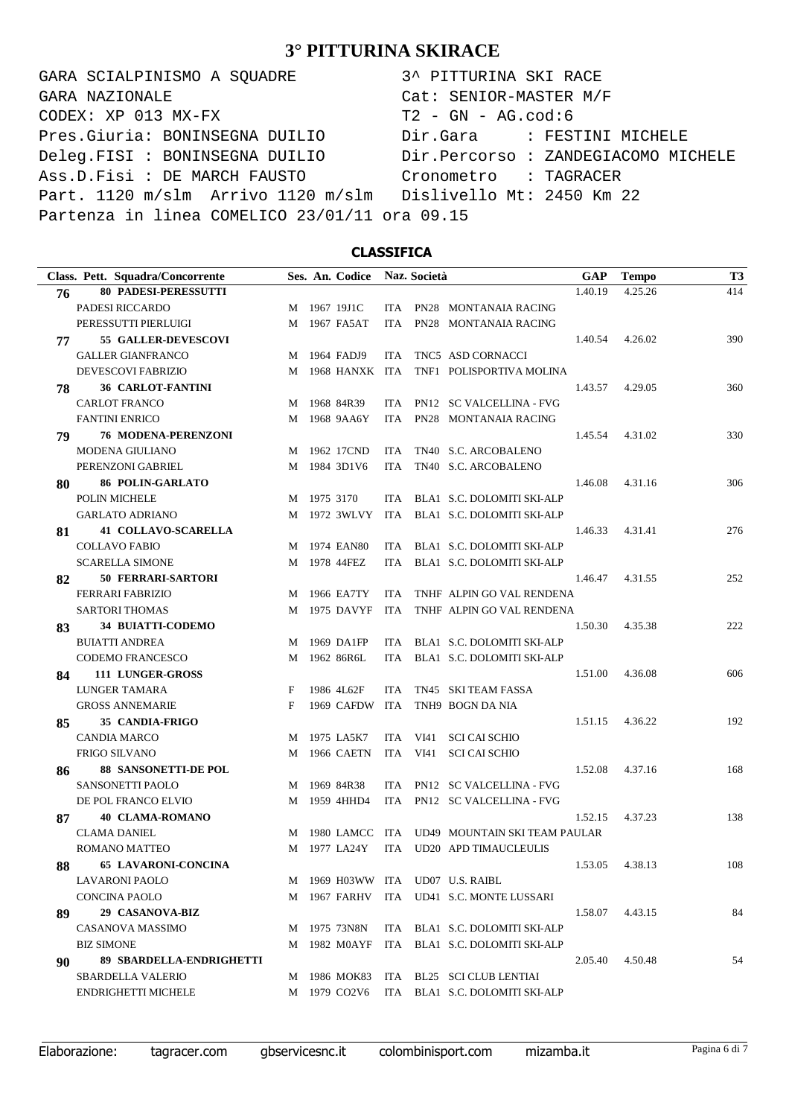| GARA SCIALPINISMO A SQUADRE                                  | 3^ PITTURINA SKI RACE               |
|--------------------------------------------------------------|-------------------------------------|
| GARA NAZIONALE                                               | Cat: SENIOR-MASTER M/F              |
| CODEX: XP 013 MX-FX                                          | $T2 - GN - AG.cod:6$                |
| Pres. Giuria: BONINSEGNA DUILIO                              | Dir.Gara : FESTINI MICHELE          |
| Deleg.FISI : BONINSEGNA DUILIO                               | Dir.Percorso : ZANDEGIACOMO MICHELE |
| Ass.D.Fisi : DE MARCH FAUSTO                                 | Cronometro : TAGRACER               |
| Part. 1120 m/slm Arrivo 1120 m/slm Dislivello Mt: 2450 Km 22 |                                     |
| Partenza in linea COMELICO 23/01/11 ora 09.15                |                                     |

|    | Class. Pett. Squadra/Concorrente |   | Ses. An. Codice  |            | Naz. Società |                                             | <b>GAP</b> | <b>Tempo</b>    | T <sub>3</sub> |
|----|----------------------------------|---|------------------|------------|--------------|---------------------------------------------|------------|-----------------|----------------|
| 76 | <b>80 PADESI-PERESSUTTI</b>      |   |                  |            |              |                                             | 1.40.19    | 4.25.26         | 414            |
|    | PADESI RICCARDO                  |   | M 1967 19J1C     |            |              | ITA PN28 MONTANAIA RACING                   |            |                 |                |
|    | PERESSUTTI PIERLUIGI             | M | 1967 FA5AT       | <b>ITA</b> |              | PN28 MONTANAIA RACING                       |            |                 |                |
| 77 | 55 GALLER-DEVESCOVI              |   |                  |            |              |                                             | 1.40.54    | 4.26.02         | 390            |
|    | <b>GALLER GIANFRANCO</b>         | M | 1964 FADJ9       | ITA        |              | TNC5 ASD CORNACCI                           |            |                 |                |
|    | DEVESCOVI FABRIZIO               |   | M 1968 HANXK ITA |            |              | TNF1 POLISPORTIVA MOLINA                    |            |                 |                |
| 78 | <b>36 CARLOT-FANTINI</b>         |   |                  |            |              |                                             | 1.43.57    | 4.29.05         | 360            |
|    | <b>CARLOT FRANCO</b>             | M | 1968 84R39       |            |              | ITA PN12 SC VALCELLINA - FVG                |            |                 |                |
|    | <b>FANTINI ENRICO</b>            | M | 1968 9AA6Y       | ITA        |              | PN28 MONTANAIA RACING                       |            |                 |                |
| 79 | <b>76 MODENA-PERENZONI</b>       |   |                  |            |              |                                             | 1.45.54    | 4.31.02         | 330            |
|    | MODENA GIULIANO                  | M | 1962 17CND       | ITA        |              | TN40 S.C. ARCOBALENO                        |            |                 |                |
|    | PERENZONI GABRIEL                |   | M 1984 3D1V6     | <b>ITA</b> |              | TN40 S.C. ARCOBALENO                        |            |                 |                |
| 80 | <b>86 POLIN-GARLATO</b>          |   |                  |            |              |                                             | 1.46.08    | 4.31.16         | 306            |
|    | POLIN MICHELE                    |   | M 1975 3170      | ITA        |              | BLA1 S.C. DOLOMITI SKI-ALP                  |            |                 |                |
|    | <b>GARLATO ADRIANO</b>           |   |                  |            |              | M 1972 3WLVY ITA BLA1 S.C. DOLOMITI SKI-ALP |            |                 |                |
| 81 | <b>41 COLLAVO-SCARELLA</b>       |   |                  |            |              |                                             | 1.46.33    | 4.31.41         | 276            |
|    | <b>COLLAVO FABIO</b>             | M | 1974 EAN80       |            |              | ITA BLA1 S.C. DOLOMITI SKI-ALP              |            |                 |                |
|    | <b>SCARELLA SIMONE</b>           |   | M 1978 44FEZ     | <b>ITA</b> |              | BLA1 S.C. DOLOMITI SKI-ALP                  |            |                 |                |
| 82 | <b>50 FERRARI-SARTORI</b>        |   |                  |            |              |                                             | 1.46.47    | 4.31.55         | 252            |
|    | <b>FERRARI FABRIZIO</b>          | M | 1966 EA7TY       | <b>ITA</b> |              | TNHF ALPIN GO VAL RENDENA                   |            |                 |                |
|    | <b>SARTORI THOMAS</b>            | M | 1975 DAVYF       | ITA        |              | TNHF ALPIN GO VAL RENDENA                   |            |                 |                |
| 83 | <b>34 BUIATTI-CODEMO</b>         |   |                  |            |              |                                             | 1.50.30    | 4.35.38         | 222            |
|    | <b>BUIATTI ANDREA</b>            | M | 1969 DA1FP       | ITA        |              | BLA1 S.C. DOLOMITI SKI-ALP                  |            |                 |                |
|    | <b>CODEMO FRANCESCO</b>          | M | 1962 86R6L       | ITA        |              | BLA1 S.C. DOLOMITI SKI-ALP                  |            |                 |                |
| 84 | 111 LUNGER-GROSS                 |   |                  |            |              |                                             | 1.51.00    | 4.36.08         | 606            |
|    | LUNGER TAMARA                    | F | 1986 4L62F       | <b>ITA</b> |              | TN45 SKI TEAM FASSA                         |            |                 |                |
|    | <b>GROSS ANNEMARIE</b>           | F | 1969 CAFDW ITA   |            |              | TNH9 BOGN DA NIA                            |            |                 |                |
| 85 | 35 CANDIA-FRIGO                  |   |                  |            |              |                                             | 1.51.15    | 4.36.22         | 192            |
|    | <b>CANDIA MARCO</b>              | M | 1975 LA5K7       | ITA        | VI41         | <b>SCI CAI SCHIO</b>                        |            |                 |                |
|    | <b>FRIGO SILVANO</b>             | M | 1966 CAETN       | ITA        | VI41         | <b>SCI CAI SCHIO</b>                        |            |                 |                |
| 86 | <b>88 SANSONETTI-DE POL</b>      |   |                  |            |              |                                             | 1.52.08    | 4.37.16         | 168            |
|    | SANSONETTI PAOLO                 | M | 1969 84R38       | ITA        |              | PN12 SC VALCELLINA - FVG                    |            |                 |                |
|    | DE POL FRANCO ELVIO              | M | 1959 4HHD4       |            |              | ITA PN12 SC VALCELLINA - FVG                |            |                 |                |
| 87 | <b>40 CLAMA-ROMANO</b>           |   |                  |            |              |                                             | 1.52.15    | 4.37.23         | 138            |
|    | <b>CLAMA DANIEL</b>              | M | 1980 LAMCC ITA   |            |              | UD49 MOUNTAIN SKI TEAM PAULAR               |            |                 |                |
|    | <b>ROMANO MATTEO</b>             |   | M 1977 LA24Y     | <b>ITA</b> |              | UD20 APD TIMAUCLEULIS                       |            |                 |                |
| 88 | <b>65 LAVARONI-CONCINA</b>       |   |                  |            |              |                                             |            | 1.53.05 4.38.13 | 108            |
|    | LAVARONI PAOLO                   |   |                  |            |              | M 1969 H03WW ITA UD07 U.S. RAIBL            |            |                 |                |
|    | CONCINA PAOLO                    |   |                  |            |              | M 1967 FARHV ITA UD41 S.C. MONTE LUSSARI    |            |                 |                |
| 89 | 29 CASANOVA-BIZ                  |   |                  |            |              |                                             | 1.58.07    | 4.43.15         | 84             |
|    | CASANOVA MASSIMO                 |   | M 1975 73N8N     |            |              | ITA BLA1 S.C. DOLOMITI SKI-ALP              |            |                 |                |
|    | <b>BIZ SIMONE</b>                |   | M 1982 M0AYF     |            |              | ITA BLA1 S.C. DOLOMITI SKI-ALP              |            |                 |                |
| 90 | 89 SBARDELLA-ENDRIGHETTI         |   |                  |            |              |                                             | 2.05.40    | 4.50.48         | 54             |
|    | <b>SBARDELLA VALERIO</b>         |   |                  |            |              | M 1986 MOK83 ITA BL25 SCI CLUB LENTIAI      |            |                 |                |
|    | <b>ENDRIGHETTI MICHELE</b>       |   | M 1979 CO2V6     |            |              | ITA BLA1 S.C. DOLOMITI SKI-ALP              |            |                 |                |
|    |                                  |   |                  |            |              |                                             |            |                 |                |